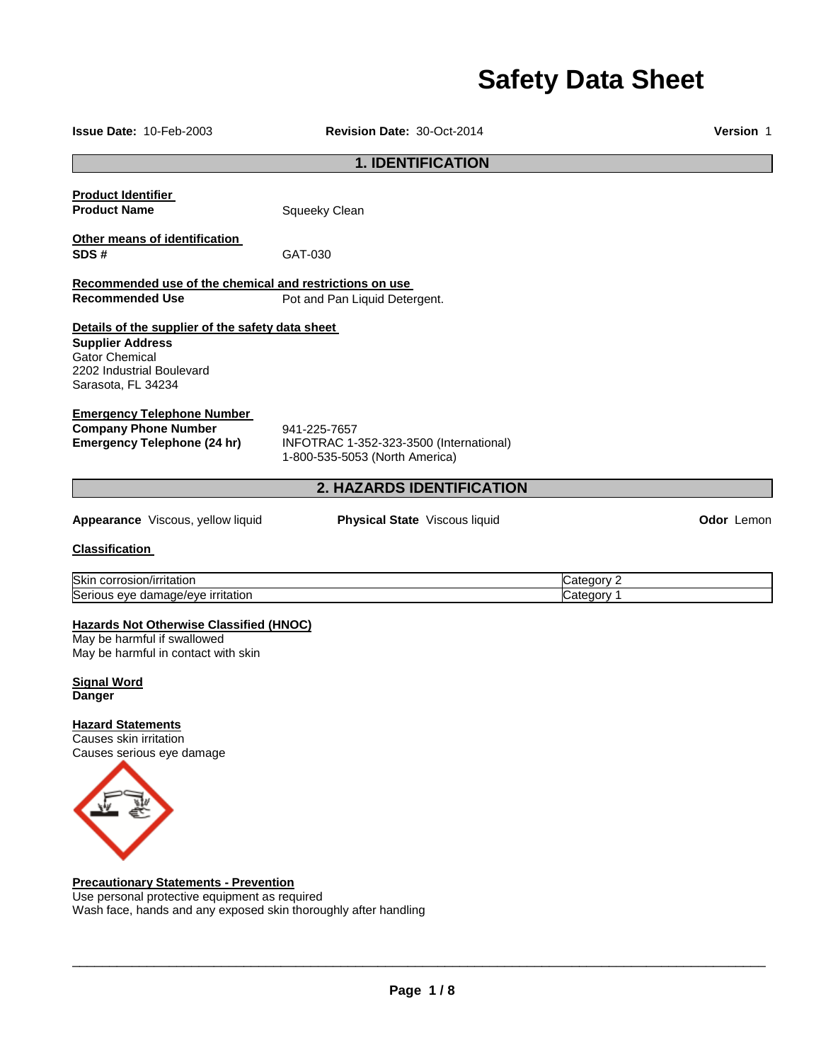# **Safety Data Sheet**

| Issue Date: 10-Feb-2003                                                                                                                                 | <b>Revision Date: 30-Oct-2014</b>                                                         |                          | <b>Version 1</b>  |  |
|---------------------------------------------------------------------------------------------------------------------------------------------------------|-------------------------------------------------------------------------------------------|--------------------------|-------------------|--|
| <b>1. IDENTIFICATION</b>                                                                                                                                |                                                                                           |                          |                   |  |
| <b>Product Identifier</b><br><b>Product Name</b>                                                                                                        | Squeeky Clean                                                                             |                          |                   |  |
| Other means of identification<br>SDS#                                                                                                                   | GAT-030                                                                                   |                          |                   |  |
| Recommended use of the chemical and restrictions on use<br><b>Recommended Use</b>                                                                       | Pot and Pan Liquid Detergent.                                                             |                          |                   |  |
| Details of the supplier of the safety data sheet<br><b>Supplier Address</b><br><b>Gator Chemical</b><br>2202 Industrial Boulevard<br>Sarasota, FL 34234 |                                                                                           |                          |                   |  |
| <b>Emergency Telephone Number</b><br><b>Company Phone Number</b><br><b>Emergency Telephone (24 hr)</b>                                                  | 941-225-7657<br>INFOTRAC 1-352-323-3500 (International)<br>1-800-535-5053 (North America) |                          |                   |  |
|                                                                                                                                                         | 2. HAZARDS IDENTIFICATION                                                                 |                          |                   |  |
| Appearance Viscous, yellow liquid                                                                                                                       | Physical State Viscous liquid                                                             |                          | <b>Odor</b> Lemon |  |
| <b>Classification</b>                                                                                                                                   |                                                                                           |                          |                   |  |
| Skin corrosion/irritation<br>Serious eye damage/eye irritation                                                                                          |                                                                                           | Category 2<br>Category 1 |                   |  |
| <b>Hazards Not Otherwise Classified (HNOC)</b><br>May be harmful if swallowed<br>May be harmful in contact with skin                                    |                                                                                           |                          |                   |  |
| <b>Signal Word</b><br><b>Danger</b>                                                                                                                     |                                                                                           |                          |                   |  |
| <b>Hazard Statements</b><br>Causes skin irritation<br>Causes serious eye damage                                                                         |                                                                                           |                          |                   |  |

Use personal protective equipment as required Wash face, hands and any exposed skin thoroughly after handling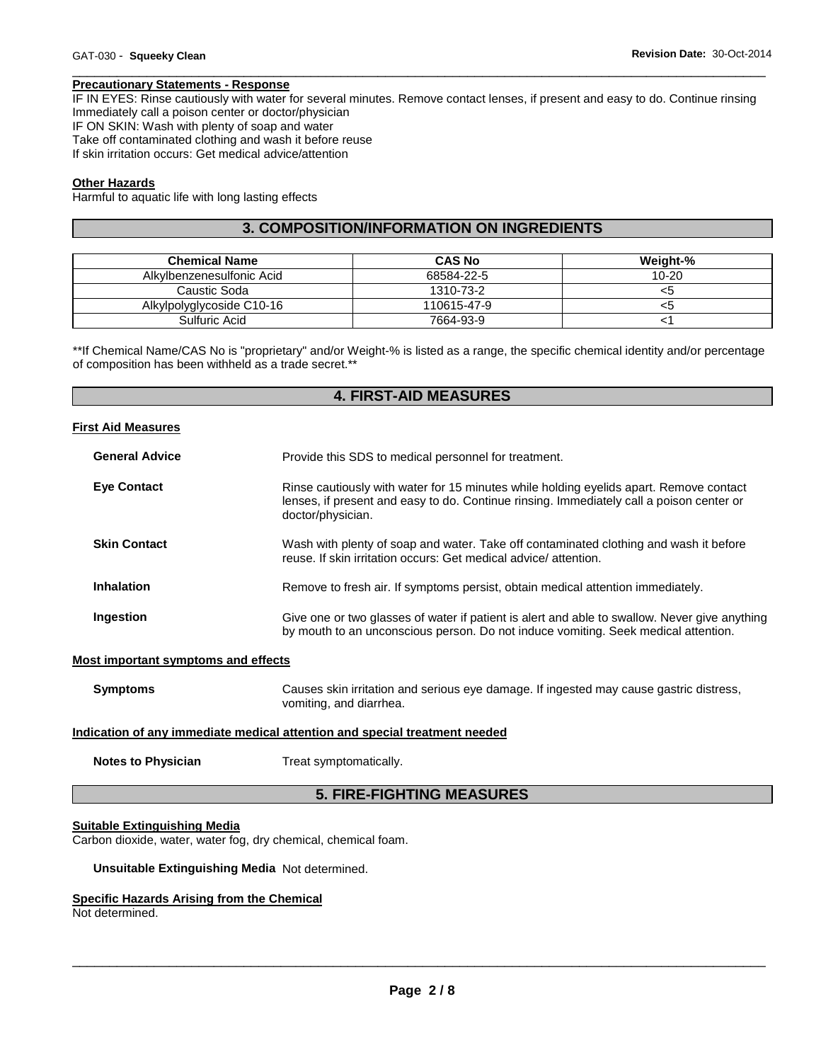#### **Precautionary Statements - Response**

IF IN EYES: Rinse cautiously with water for several minutes. Remove contact lenses, if present and easy to do. Continue rinsing Immediately call a poison center or doctor/physician IF ON SKIN: Wash with plenty of soap and water Take off contaminated clothing and wash it before reuse If skin irritation occurs: Get medical advice/attention

\_\_\_\_\_\_\_\_\_\_\_\_\_\_\_\_\_\_\_\_\_\_\_\_\_\_\_\_\_\_\_\_\_\_\_\_\_\_\_\_\_\_\_\_\_\_\_\_\_\_\_\_\_\_\_\_\_\_\_\_\_\_\_\_\_\_\_\_\_\_\_\_\_\_\_\_\_\_\_\_\_\_\_\_\_\_\_\_\_\_\_\_\_

#### **Other Hazards**

Harmful to aquatic life with long lasting effects

### **3. COMPOSITION/INFORMATION ON INGREDIENTS**

| <b>Chemical Name</b>      | <b>CAS No</b> | Weight-%  |
|---------------------------|---------------|-----------|
| Alkylbenzenesulfonic Acid | 68584-22-5    | $10 - 20$ |
| Caustic Soda              | 1310-73-2     | <ວ        |
| Alkylpolyglycoside C10-16 | 110615-47-9   | <ວ        |
| Sulfuric Acid             | 7664-93-9     |           |

\*\*If Chemical Name/CAS No is "proprietary" and/or Weight-% is listed as a range, the specific chemical identity and/or percentage of composition has been withheld as a trade secret.\*\*

#### **4. FIRST-AID MEASURES**

#### **First Aid Measures**

| <b>General Advice</b> | Provide this SDS to medical personnel for treatment.                                                                                                                                                    |
|-----------------------|---------------------------------------------------------------------------------------------------------------------------------------------------------------------------------------------------------|
| <b>Eve Contact</b>    | Rinse cautiously with water for 15 minutes while holding eyelids apart. Remove contact<br>lenses, if present and easy to do. Continue rinsing. Immediately call a poison center or<br>doctor/physician. |
| <b>Skin Contact</b>   | Wash with plenty of soap and water. Take off contaminated clothing and wash it before<br>reuse. If skin irritation occurs: Get medical advice/attention.                                                |
| <b>Inhalation</b>     | Remove to fresh air. If symptoms persist, obtain medical attention immediately.                                                                                                                         |
| Ingestion             | Give one or two glasses of water if patient is alert and able to swallow. Never give anything<br>by mouth to an unconscious person. Do not induce vomiting. Seek medical attention.                     |

#### **Most important symptoms and effects**

| <b>Symptoms</b> | Causes skin irritation and serious eye damage. If ingested may cause gastric distress, |
|-----------------|----------------------------------------------------------------------------------------|
|                 | vomiting, and diarrhea.                                                                |

#### **Indication of any immediate medical attention and special treatment needed**

**Notes to Physician**  Treat symptomatically.

### **5. FIRE-FIGHTING MEASURES**

#### **Suitable Extinguishing Media**

Carbon dioxide, water, water fog, dry chemical, chemical foam.

**Unsuitable Extinguishing Media** Not determined.

### **Specific Hazards Arising from the Chemical**

Not determined.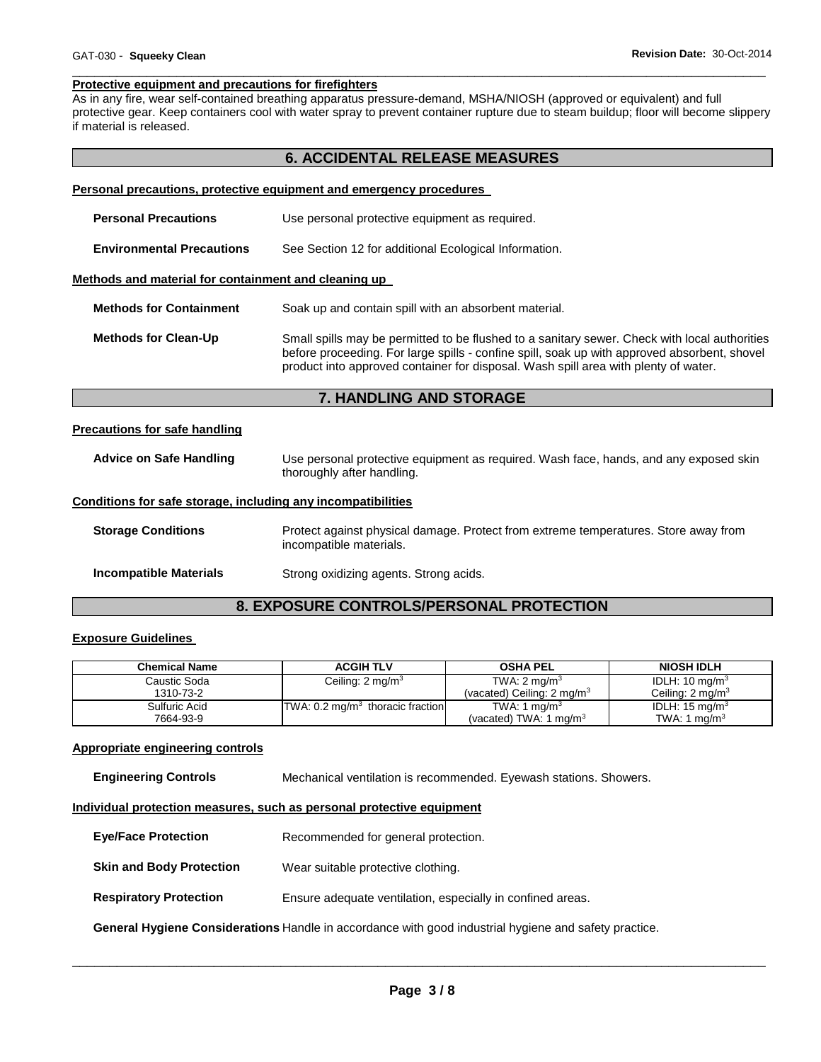#### \_\_\_\_\_\_\_\_\_\_\_\_\_\_\_\_\_\_\_\_\_\_\_\_\_\_\_\_\_\_\_\_\_\_\_\_\_\_\_\_\_\_\_\_\_\_\_\_\_\_\_\_\_\_\_\_\_\_\_\_\_\_\_\_\_\_\_\_\_\_\_\_\_\_\_\_\_\_\_\_\_\_\_\_\_\_\_\_\_\_\_\_\_ **Protective equipment and precautions for firefighters**

As in any fire, wear self-contained breathing apparatus pressure-demand, MSHA/NIOSH (approved or equivalent) and full protective gear. Keep containers cool with water spray to prevent container rupture due to steam buildup; floor will become slippery if material is released.

## **6. ACCIDENTAL RELEASE MEASURES**

|                                                              | <b>Personal precautions, protective equipment and emergency procedures</b>                                                                                                                                                                                                           |  |  |
|--------------------------------------------------------------|--------------------------------------------------------------------------------------------------------------------------------------------------------------------------------------------------------------------------------------------------------------------------------------|--|--|
| <b>Personal Precautions</b>                                  | Use personal protective equipment as required.                                                                                                                                                                                                                                       |  |  |
| <b>Environmental Precautions</b>                             | See Section 12 for additional Ecological Information.                                                                                                                                                                                                                                |  |  |
| Methods and material for containment and cleaning up         |                                                                                                                                                                                                                                                                                      |  |  |
| <b>Methods for Containment</b>                               | Soak up and contain spill with an absorbent material.                                                                                                                                                                                                                                |  |  |
| <b>Methods for Clean-Up</b>                                  | Small spills may be permitted to be flushed to a sanitary sewer. Check with local authorities<br>before proceeding. For large spills - confine spill, soak up with approved absorbent, shovel<br>product into approved container for disposal. Wash spill area with plenty of water. |  |  |
|                                                              | <b>7. HANDLING AND STORAGE</b>                                                                                                                                                                                                                                                       |  |  |
| <b>Precautions for safe handling</b>                         |                                                                                                                                                                                                                                                                                      |  |  |
| <b>Advice on Safe Handling</b>                               | Use personal protective equipment as required. Wash face, hands, and any exposed skin<br>thoroughly after handling.                                                                                                                                                                  |  |  |
| Conditions for safe storage, including any incompatibilities |                                                                                                                                                                                                                                                                                      |  |  |
| <b>Storage Conditions</b>                                    | Protect against physical damage. Protect from extreme temperatures. Store away from<br>incompatible materials.                                                                                                                                                                       |  |  |
| <b>Incompatible Materials</b>                                | Strong oxidizing agents. Strong acids.                                                                                                                                                                                                                                               |  |  |
| 8. EXPOSURE CONTROLS/PERSONAL PROTECTION                     |                                                                                                                                                                                                                                                                                      |  |  |

### **Exposure Guidelines**

| <b>Chemical Name</b> | <b>ACGIH TLV</b>                            | <b>OSHA PEL</b>                       | <b>NIOSH IDLH</b>           |
|----------------------|---------------------------------------------|---------------------------------------|-----------------------------|
| Caustic Soda         | Ceiling: $2 \text{ mg/m}^3$                 | TWA: $2 \text{ mg/m}^3$               | IDLH: 10 mg/m $3$           |
| 1310-73-2            |                                             | (vacated) Ceiling: $2 \text{ mg/m}^3$ | Ceiling: $2 \text{ mg/m}^3$ |
| Sulfuric Acid        | TWA: $0.2 \text{ mg/m}^3$ thoracic fraction | TWA: 1 mg/m <sup>3</sup>              | IDLH: $15 \text{ mg/m}^3$   |
| 7664-93-9            |                                             | (vacated) TWA: 1 mg/m <sup>3</sup>    | TWA: 1 $ma/m3$              |

### **Appropriate engineering controls**

**Engineering Controls** Mechanical ventilation is recommended. Eyewash stations. Showers.

#### **Individual protection measures, such as personal protective equipment**

| <b>Eye/Face Protection</b>                                                                                   | Recommended for general protection.                        |  |  |
|--------------------------------------------------------------------------------------------------------------|------------------------------------------------------------|--|--|
| <b>Skin and Body Protection</b>                                                                              | Wear suitable protective clothing.                         |  |  |
| <b>Respiratory Protection</b>                                                                                | Ensure adequate ventilation, especially in confined areas. |  |  |
| <b>General Hygiene Considerations Handle in accordance with good industrial hygiene and safety practice.</b> |                                                            |  |  |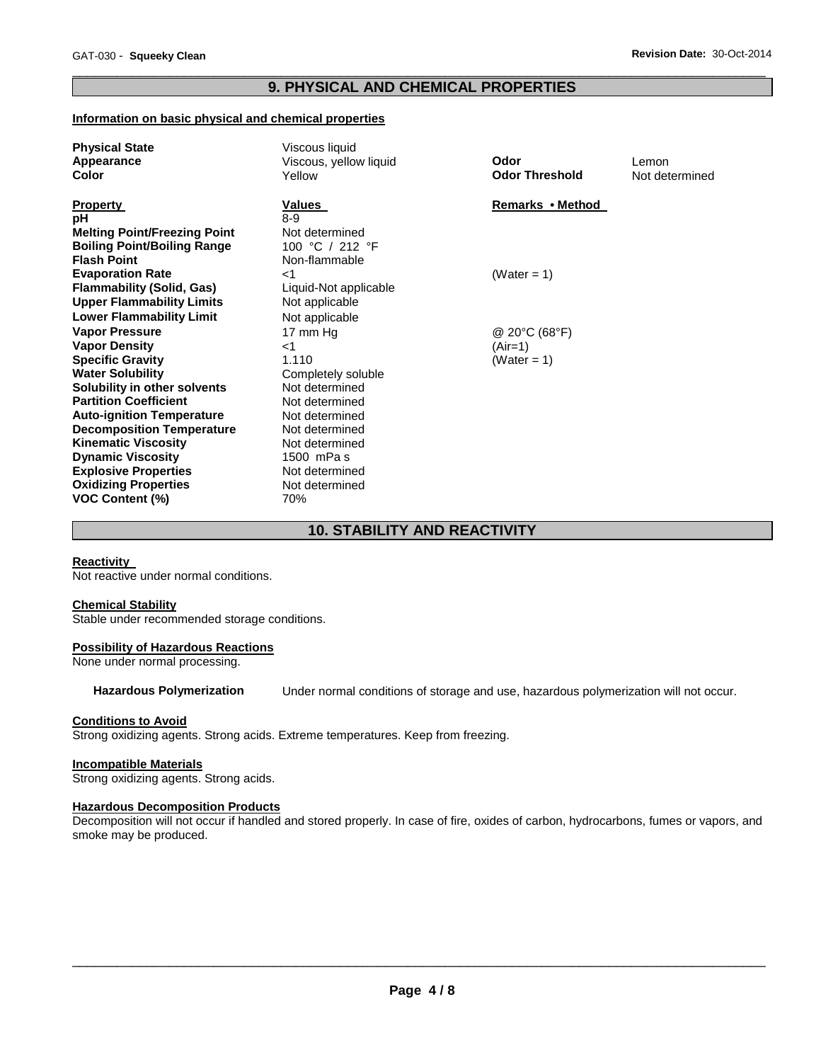### \_\_\_\_\_\_\_\_\_\_\_\_\_\_\_\_\_\_\_\_\_\_\_\_\_\_\_\_\_\_\_\_\_\_\_\_\_\_\_\_\_\_\_\_\_\_\_\_\_\_\_\_\_\_\_\_\_\_\_\_\_\_\_\_\_\_\_\_\_\_\_\_\_\_\_\_\_\_\_\_\_\_\_\_\_\_\_\_\_\_\_\_\_ **9. PHYSICAL AND CHEMICAL PROPERTIES**

### **Information on basic physical and chemical properties**

| <b>Physical State</b>               | Viscous liquid         |                       |                |
|-------------------------------------|------------------------|-----------------------|----------------|
| Appearance                          | Viscous, yellow liquid | Odor                  | Lemon          |
| <b>Color</b>                        | Yellow                 | <b>Odor Threshold</b> | Not determined |
|                                     |                        |                       |                |
| <b>Property</b>                     | Values                 | Remarks • Method      |                |
| рH                                  | $8-9$                  |                       |                |
| <b>Melting Point/Freezing Point</b> | Not determined         |                       |                |
| <b>Boiling Point/Boiling Range</b>  | 100 °C / 212 °F        |                       |                |
| <b>Flash Point</b>                  | Non-flammable          |                       |                |
| <b>Evaporation Rate</b>             | ا>                     | (Water = $1$ )        |                |
| <b>Flammability (Solid, Gas)</b>    | Liquid-Not applicable  |                       |                |
| <b>Upper Flammability Limits</b>    | Not applicable         |                       |                |
| <b>Lower Flammability Limit</b>     | Not applicable         |                       |                |
| <b>Vapor Pressure</b>               | 17 mm Hg               | @ 20°C (68°F)         |                |
| <b>Vapor Density</b>                | $<$ 1                  | (Air=1)               |                |
| <b>Specific Gravity</b>             | 1.110                  | (Water = 1)           |                |
| <b>Water Solubility</b>             | Completely soluble     |                       |                |
| Solubility in other solvents        | Not determined         |                       |                |
| <b>Partition Coefficient</b>        | Not determined         |                       |                |
| <b>Auto-ignition Temperature</b>    | Not determined         |                       |                |
| <b>Decomposition Temperature</b>    | Not determined         |                       |                |
| <b>Kinematic Viscosity</b>          | Not determined         |                       |                |
| <b>Dynamic Viscosity</b>            | 1500 mPa s             |                       |                |
| <b>Explosive Properties</b>         | Not determined         |                       |                |
| <b>Oxidizing Properties</b>         | Not determined         |                       |                |
| <b>VOC Content (%)</b>              | 70%                    |                       |                |

### **10. STABILITY AND REACTIVITY**

### **Reactivity**

Not reactive under normal conditions.

#### **Chemical Stability**

Stable under recommended storage conditions.

#### **Possibility of Hazardous Reactions**

None under normal processing.

**Hazardous Polymerization** Under normal conditions of storage and use, hazardous polymerization will not occur.

#### **Conditions to Avoid**

Strong oxidizing agents. Strong acids. Extreme temperatures. Keep from freezing.

#### **Incompatible Materials**

Strong oxidizing agents. Strong acids.

#### **Hazardous Decomposition Products**

Decomposition will not occur if handled and stored properly. In case of fire, oxides of carbon, hydrocarbons, fumes or vapors, and smoke may be produced.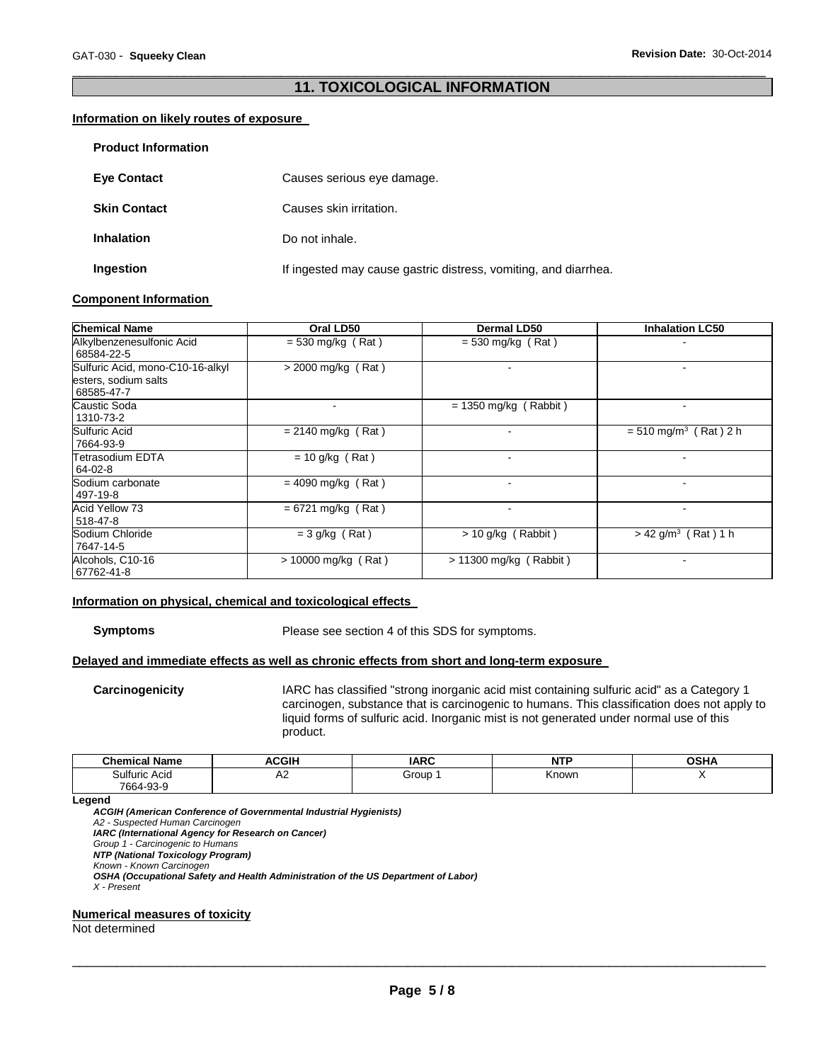### \_\_\_\_\_\_\_\_\_\_\_\_\_\_\_\_\_\_\_\_\_\_\_\_\_\_\_\_\_\_\_\_\_\_\_\_\_\_\_\_\_\_\_\_\_\_\_\_\_\_\_\_\_\_\_\_\_\_\_\_\_\_\_\_\_\_\_\_\_\_\_\_\_\_\_\_\_\_\_\_\_\_\_\_\_\_\_\_\_\_\_\_\_ **11. TOXICOLOGICAL INFORMATION**

#### **Information on likely routes of exposure**

| <b>Product Information</b> |                                                                 |
|----------------------------|-----------------------------------------------------------------|
| <b>Eye Contact</b>         | Causes serious eye damage.                                      |
| <b>Skin Contact</b>        | Causes skin irritation.                                         |
| <b>Inhalation</b>          | Do not inhale.                                                  |
| Ingestion                  | If ingested may cause gastric distress, vomiting, and diarrhea. |

#### **Component Information**

| <b>Chemical Name</b>                                                   | Oral LD50             | <b>Dermal LD50</b>       | <b>Inhalation LC50</b>              |
|------------------------------------------------------------------------|-----------------------|--------------------------|-------------------------------------|
| Alkylbenzenesulfonic Acid<br>68584-22-5                                | $= 530$ mg/kg (Rat)   | $=$ 530 mg/kg (Rat)      |                                     |
| Sulfuric Acid, mono-C10-16-alkyl<br>esters, sodium salts<br>68585-47-7 | $>$ 2000 mg/kg (Rat)  |                          |                                     |
| Caustic Soda<br>1310-73-2                                              |                       | $= 1350$ mg/kg (Rabbit)  |                                     |
| Sulfuric Acid<br>7664-93-9                                             | $= 2140$ mg/kg (Rat)  |                          | $= 510$ mg/m <sup>3</sup> (Rat) 2 h |
| Tetrasodium EDTA<br>64-02-8                                            | $= 10$ g/kg (Rat)     |                          |                                     |
| Sodium carbonate<br>497-19-8                                           | $= 4090$ mg/kg (Rat)  |                          |                                     |
| <b>Acid Yellow 73</b><br>518-47-8                                      | $= 6721$ mg/kg (Rat)  | $\overline{\phantom{a}}$ | $\overline{\phantom{a}}$            |
| Sodium Chloride<br>7647-14-5                                           | $=$ 3 g/kg (Rat)      | $> 10$ g/kg (Rabbit)     | $> 42$ g/m <sup>3</sup> (Rat) 1 h   |
| Alcohols, C10-16<br>67762-41-8                                         | $> 10000$ mg/kg (Rat) | > 11300 mg/kg ( Rabbit ) |                                     |

#### **Information on physical, chemical and toxicological effects**

**Symptoms** Please see section 4 of this SDS for symptoms.

### **Delayed and immediate effects as well as chronic effects from short and long-term exposure**

**Carcinogenicity** IARC has classified "strong inorganic acid mist containing sulfuric acid" as a Category 1 carcinogen, substance that is carcinogenic to humans. This classification does not apply to liquid forms of sulfuric acid. Inorganic mist is not generated under normal use of this product.

| <b>Chemical Name</b>       | <b>ACGIH</b> | <b>IARC</b> | NITE<br>ווא | $\sim$ u $\prime$ |
|----------------------------|--------------|-------------|-------------|-------------------|
| Sulfuric Acid<br>7664-93-9 | Λ0<br>∼      | Group       | Known       |                   |

#### **Legend**

*ACGIH (American Conference of Governmental Industrial Hygienists) A2 - Suspected Human Carcinogen IARC (International Agency for Research on Cancer) Group 1 - Carcinogenic to Humans NTP (National Toxicology Program) Known - Known Carcinogen OSHA (Occupational Safety and Health Administration of the US Department of Labor) X - Present* 

### **Numerical measures of toxicity**

Not determined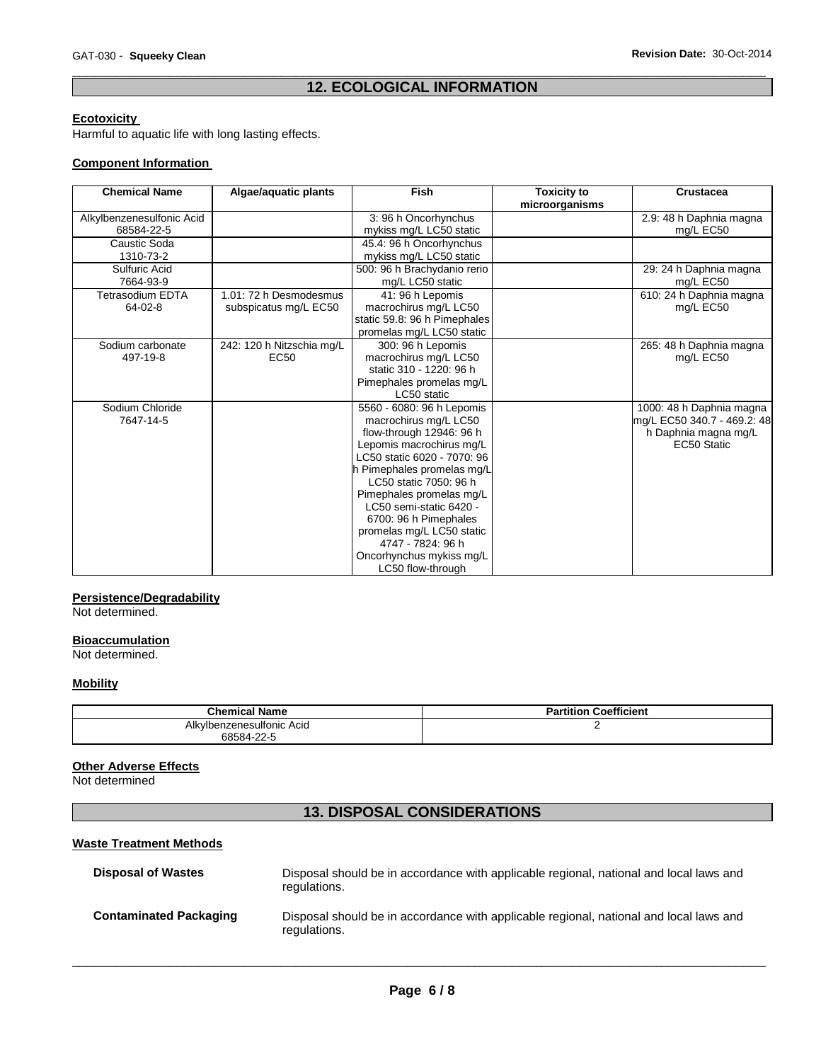### \_\_\_\_\_\_\_\_\_\_\_\_\_\_\_\_\_\_\_\_\_\_\_\_\_\_\_\_\_\_\_\_\_\_\_\_\_\_\_\_\_\_\_\_\_\_\_\_\_\_\_\_\_\_\_\_\_\_\_\_\_\_\_\_\_\_\_\_\_\_\_\_\_\_\_\_\_\_\_\_\_\_\_\_\_\_\_\_\_\_\_\_\_ **12. ECOLOGICAL INFORMATION**

### **Ecotoxicity**

Harmful to aquatic life with long lasting effects.

### **Component Information**

| <b>Chemical Name</b>      | Algae/aquatic plants      | Fish                         | <b>Toxicity to</b><br>microorganisms | <b>Crustacea</b>            |
|---------------------------|---------------------------|------------------------------|--------------------------------------|-----------------------------|
| Alkylbenzenesulfonic Acid |                           | 3:96 h Oncorhynchus          |                                      | 2.9: 48 h Daphnia magna     |
| 68584-22-5                |                           | mykiss mg/L LC50 static      |                                      | mg/L EC50                   |
| Caustic Soda              |                           | 45.4: 96 h Oncorhynchus      |                                      |                             |
| 1310-73-2                 |                           | mykiss mg/L LC50 static      |                                      |                             |
| Sulfuric Acid             |                           | 500: 96 h Brachydanio rerio  |                                      | 29: 24 h Daphnia magna      |
| 7664-93-9                 |                           | mg/L LC50 static             |                                      | mg/L EC50                   |
| Tetrasodium EDTA          | 1.01: 72 h Desmodesmus    | 41: 96 h Lepomis             |                                      | 610: 24 h Daphnia magna     |
| 64-02-8                   | subspicatus mg/L EC50     | macrochirus mg/L LC50        |                                      | mg/L EC50                   |
|                           |                           | static 59.8: 96 h Pimephales |                                      |                             |
|                           |                           | promelas mg/L LC50 static    |                                      |                             |
| Sodium carbonate          | 242: 120 h Nitzschia mg/L | 300: 96 h Lepomis            |                                      | 265: 48 h Daphnia magna     |
| 497-19-8                  | <b>EC50</b>               | macrochirus mg/L LC50        |                                      | mg/L EC50                   |
|                           |                           | static 310 - 1220: 96 h      |                                      |                             |
|                           |                           | Pimephales promelas mg/L     |                                      |                             |
|                           |                           | LC50 static                  |                                      |                             |
| Sodium Chloride           |                           | 5560 - 6080: 96 h Lepomis    |                                      | 1000: 48 h Daphnia magna    |
| 7647-14-5                 |                           | macrochirus mg/L LC50        |                                      | mg/L EC50 340.7 - 469.2: 48 |
|                           |                           | flow-through 12946: 96 h     |                                      | h Daphnia magna mg/L        |
|                           |                           | Lepomis macrochirus mg/L     |                                      | EC50 Static                 |
|                           |                           | LC50 static 6020 - 7070: 96  |                                      |                             |
|                           |                           | h Pimephales promelas mg/L   |                                      |                             |
|                           |                           | LC50 static 7050: 96 h       |                                      |                             |
|                           |                           | Pimephales promelas mg/L     |                                      |                             |
|                           |                           | LC50 semi-static 6420 -      |                                      |                             |
|                           |                           | 6700: 96 h Pimephales        |                                      |                             |
|                           |                           | promelas mg/L LC50 static    |                                      |                             |
|                           |                           | 4747 - 7824: 96 h            |                                      |                             |
|                           |                           | Oncorhynchus mykiss mg/L     |                                      |                             |
|                           |                           | LC50 flow-through            |                                      |                             |

### **Persistence/Degradability**

Not determined.

#### **Bioaccumulation**

Not determined.

### **Mobility**

| <b>Chemical Name</b>            | <b>Partition Coefficient</b> |
|---------------------------------|------------------------------|
| vlbenzenesulfonic Acidː<br>Alkv |                              |
| 68584-22-5                      |                              |

### **Other Adverse Effects**

Not determined

### **13. DISPOSAL CONSIDERATIONS**

### **Waste Treatment Methods**

| <b>Disposal of Wastes</b>     | Disposal should be in accordance with applicable regional, national and local laws and<br>regulations. |
|-------------------------------|--------------------------------------------------------------------------------------------------------|
| <b>Contaminated Packaging</b> | Disposal should be in accordance with applicable regional, national and local laws and<br>regulations. |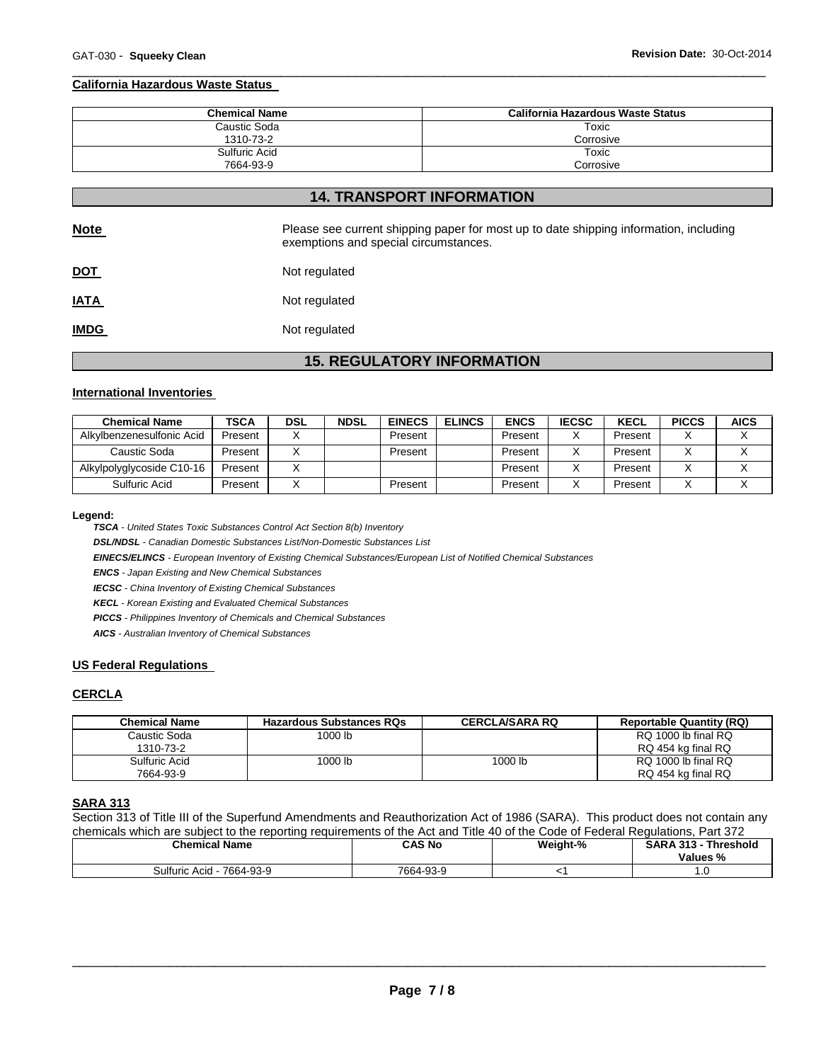#### \_\_\_\_\_\_\_\_\_\_\_\_\_\_\_\_\_\_\_\_\_\_\_\_\_\_\_\_\_\_\_\_\_\_\_\_\_\_\_\_\_\_\_\_\_\_\_\_\_\_\_\_\_\_\_\_\_\_\_\_\_\_\_\_\_\_\_\_\_\_\_\_\_\_\_\_\_\_\_\_\_\_\_\_\_\_\_\_\_\_\_\_\_ **California Hazardous Waste Status**

| <b>Chemical Name</b> | California Hazardous Waste Status |
|----------------------|-----------------------------------|
| Caustic Soda         | Toxic                             |
| 1310-73-2            | Corrosive                         |
| Sulfuric Acid        | Toxic                             |
| 7664-93-9            | Corrosive                         |

### **14. TRANSPORT INFORMATION**

| <b>Note</b> | Please see current shipping paper for most up to date shipping information, including<br>exemptions and special circumstances. |
|-------------|--------------------------------------------------------------------------------------------------------------------------------|
| <u>DOT</u>  | Not regulated                                                                                                                  |
| <u>IATA</u> | Not regulated                                                                                                                  |
| <b>IMDG</b> | Not regulated                                                                                                                  |

## **15. REGULATORY INFORMATION**

#### **International Inventories**

| <b>Chemical Name</b>      | TSCA    | <b>DSL</b> | <b>NDSL</b> | <b>EINECS</b> | <b>ELINCS</b> | <b>ENCS</b> | <b>IECSC</b> | <b>KECL</b> | <b>PICCS</b> | <b>AICS</b> |
|---------------------------|---------|------------|-------------|---------------|---------------|-------------|--------------|-------------|--------------|-------------|
| Alkylbenzenesulfonic Acid | Present |            |             | Present       |               | Present     |              | Present     |              |             |
| Caustic Soda              | Present |            |             | Present       |               | Present     |              | Present     |              |             |
| Alkylpolyglycoside C10-16 | Present |            |             |               |               | Present     |              | Present     |              |             |
| Sulfuric Acid             | Present |            |             | Present       |               | Present     |              | Present     |              |             |

#### **Legend:**

*TSCA - United States Toxic Substances Control Act Section 8(b) Inventory* 

*DSL/NDSL - Canadian Domestic Substances List/Non-Domestic Substances List* 

*EINECS/ELINCS - European Inventory of Existing Chemical Substances/European List of Notified Chemical Substances* 

*ENCS - Japan Existing and New Chemical Substances* 

*IECSC - China Inventory of Existing Chemical Substances* 

*KECL - Korean Existing and Evaluated Chemical Substances* 

*PICCS - Philippines Inventory of Chemicals and Chemical Substances* 

*AICS - Australian Inventory of Chemical Substances* 

#### **US Federal Regulations**

### **CERCLA**

| Chemical Name              | <b>Hazardous Substances RQs</b> | <b>CERCLA/SARA RQ</b> | <b>Reportable Quantity (RQ)</b>           |
|----------------------------|---------------------------------|-----------------------|-------------------------------------------|
| Caustic Soda<br>1310-73-2  | 1000 lb                         |                       | RQ 1000 lb final RQ<br>RQ 454 kg final RQ |
| Sulfuric Acid<br>7664-93-9 | 1000 lb                         | 1000 lb               | RQ 1000 lb final RQ<br>RQ 454 kg final RQ |

### **SARA 313**

Section 313 of Title III of the Superfund Amendments and Reauthorization Act of 1986 (SARA). This product does not contain any chemicals which are subject to the reporting requirements of the Act and Title 40 of the Code of Federal Regulations, Part 372

| <b>Chemical Name</b>         | CAS No    | Weight-% | <b>SARA 313 -</b><br><b>Threshold</b><br>Values % |
|------------------------------|-----------|----------|---------------------------------------------------|
| Sulfuric Acid ·<br>7664-93-9 | 7664-93-9 |          |                                                   |